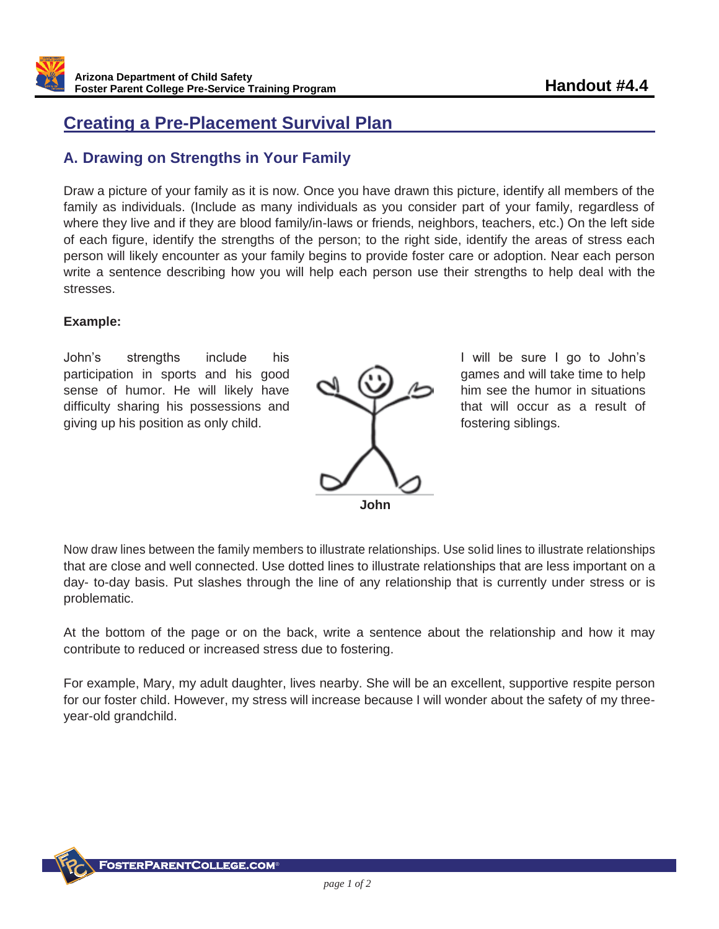# **Creating a Pre-Placement Survival Plan**

## **A. Drawing on Strengths in Your Family**

Draw a picture of your family as it is now. Once you have drawn this picture, identify all members of the family as individuals. (Include as many individuals as you consider part of your family, regardless of where they live and if they are blood family/in-laws or friends, neighbors, teachers, etc.) On the left side of each figure, identify the strengths of the person; to the right side, identify the areas of stress each person will likely encounter as your family begins to provide foster care or adoption. Near each person write a sentence describing how you will help each person use their strengths to help deal with the stresses.

#### **Example:**

John's strengths include his participation in sports and his good sense of humor. He will likely have difficulty sharing his possessions and giving up his position as only child.



I will be sure I go to John's games and will take time to help him see the humor in situations that will occur as a result of fostering siblings.

Now draw lines between the family members to illustrate relationships. Use solid lines to illustrate relationships that are close and well connected. Use dotted lines to illustrate relationships that are less important on a day- to-day basis. Put slashes through the line of any relationship that is currently under stress or is problematic.

At the bottom of the page or on the back, write a sentence about the relationship and how it may contribute to reduced or increased stress due to fostering.

For example, Mary, my adult daughter, lives nearby. She will be an excellent, supportive respite person for our foster child. However, my stress will increase because I will wonder about the safety of my threeyear-old grandchild.